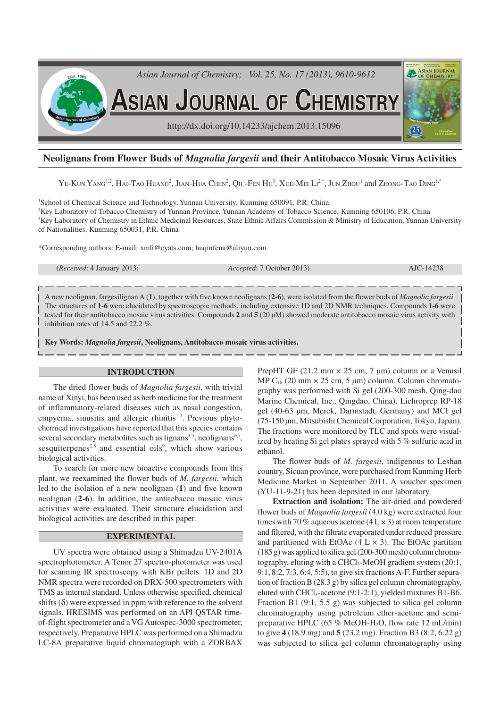

# **Neolignans from Flower Buds of** *Magnolia fargesii* **and their Antitobacco Mosaic Virus Activities**

 $\rm{Ye\text{-}K}$ un Yang<sup>1,2</sup>, Hai-Tao Huang<sup>2</sup>, Jian-Hua Chen<sup>2</sup>, Qiu-Fen Hu<sup>3</sup>, Xue-Mei Li $^{2,*}$ , Jun Zhou<sup>1</sup> and Zhong-Tao Ding<sup>1,\*</sup>

<sup>1</sup>School of Chemical Science and Technology, Yunnan University, Kunming 650091, P.R. China <sup>2</sup>Key Laboratory of Tobacco Chemistry of Yunnan Province, Yunnan Academy of Tobacco Science, Kunming 650106, P.R. China <sup>3</sup>Key Laboratory of Chemistry in Ethnic Medicinal Resources, State Ethnic Affairs Commission & Ministry of Education, Yunnan University of Nationalities, Kunming 650031, P.R. China

\*Corresponding authors: E-mail: xmli@cyats.com; huqiufena@aliyun.com

(*Received*: 4 January 2013; *Accepted*: 7 October 2013) AJC-14238

A new neolignan, fargesilignan A (**1**), together with five known neolignans (**2-6**), were isolated from the flower buds of *Magnolia fargesii*. The structures of **1-6** were elucidated by spectroscopic methods, including extensive 1D and 2D NMR techniques. Compounds **1-6** were tested for their antitobacco mosaic virus activities. Compounds **2** and **5** (20 µM) showed moderate antitobacco mosaic virus activity with inhibition rates of 14.5 and 22.2 %.

**Key Words:** *Magnolia fargesii***, Neolignans, Antitobacco mosaic virus activities.**

# **INTRODUCTION**

The dried flower buds of *Magnolia fargesii*, with trivial name of Xinyi, has been used as herb medicine for the treatment of inflammatory-related diseases such as nasal congestion, empyema, sinusitis and allergic rhinitis<sup>1,2</sup>. Previous phytochemical investigations have reported that this species contains several secondary metabolites such as lignans<sup>3-5</sup>, neolignans<sup>6,7</sup>, sesquiterpenes<sup>2,8</sup> and essential oils<sup>9</sup>, which show various biological activities.

To search for more new bioactive compounds from this plant, we reexamined the flower buds of *M. fargesii*, which led to the isolation of a new neolignan (**1**) and five known neolignan (**2-6**). In addition, the antitobacco mosaic virus activities were evaluated. Their structure elucidation and biological activities are described in this paper.

### **EXPERIMENTAL**

UV spectra were obtained using a Shimadzu UV-2401A spectrophotometer. A Tenor 27 spectro-photometer was used for scanning IR spectroscopy with KBr pellets. 1D and 2D NMR spectra were recorded on DRX-500 spectrometers with TMS as internal standard. Unless otherwise specified, chemical shifts  $(\delta)$  were expressed in ppm with reference to the solvent signals. HRESIMS was performed on an API QSTAR timeof-flight spectrometer and a VG Autospec-3000 spectrometer, respectively. Preparative HPLC was performed on a Shimadzu LC-8A preparative liquid chromatograph with a ZORBAX PrepHT GF (21.2 mm  $\times$  25 cm, 7 µm) column or a Venusil MP  $C_{18}$  (20 mm  $\times$  25 cm, 5 µm) column. Column chromatography was performed with Si gel (200-300 mesh, Qing-dao Marine Chemical, Inc., Qingdao, China), Lichroprep RP-18 gel (40-63 µm, Merck, Darmstadt, Germany) and MCI gel (75-150 µm, Mitsubishi Chemical Corporation, Tokyo, Japan). The fractions were monitored by TLC and spots were visualized by heating Si gel plates sprayed with 5 % sulfuric acid in ethanol.

The flower buds of *M. fargesii*, indigenous to Leshan country, Sicuan province, were purchased from Kunming Herb Medicine Market in September 2011. A voucher specimen (YU-11-9-21) has been deposited in our laboratory.

**Extraction and isolation:** The air-dried and powdered flower buds of *Magnolia fargesii* (4.0 kg) were extracted four times with 70 % aqueous acetone  $(4 L \times 3)$  at room temperature and filtered, with the filtrate evaporated under reduced pressure and partitioned with EtOAc  $(4 L \times 3)$ . The EtOAc partition (185 g) was applied to silica gel (200-300 mesh) column chromatography, eluting with a CHCl<sub>3</sub>-MeOH gradient system (20:1, 9:1, 8:2, 7:3, 6:4, 5:5), to give six fractions A-F. Further separation of fraction B (28.3 g) by silica gel column chromatography, eluted with CHCl3-acetone (9:1-2:1), yielded mixtures B1-B6. Fraction B1 (9:1, 5.5 g) was subjected to silica gel column chromatography using petroleum ether-acetone and semipreparative HPLC  $(65\% \text{ MeOH-H}_2O, \text{flow rate } 12 \text{ mL/min})$ to give **4** (18.9 mg) and **5** (23.2 mg). Fraction B3 (8:2, 6.22 g) was subjected to silica gel column chromatography using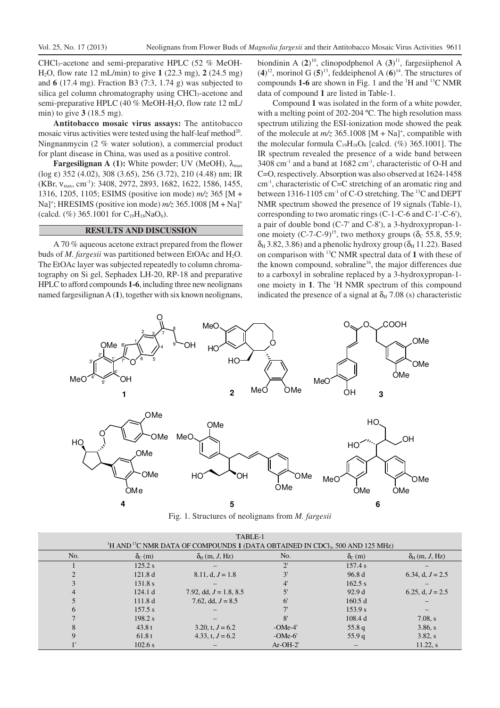CHCl<sub>3</sub>-acetone and semi-preparative HPLC (52 % MeOH-H2O, flow rate 12 mL/min) to give **1** (22.3 mg), **2** (24.5 mg) and **6** (17.4 mg). Fraction B3 (7:3, 1.74 g) was subjected to silica gel column chromatography using CHCl<sub>3</sub>-acetone and semi-preparative HPLC (40 % MeOH-H2O, flow rate 12 mL/ min) to give **3** (18.5 mg).

**Antitobacco mosaic virus assays:** The antitobacco mosaic virus activities were tested using the half-leaf method<sup>20</sup>. Ningnanmycin (2 % water solution), a commercial product for plant disease in China, was used as a positive control.

**Fargesilignan A (1):** White powder; UV (MeOH),  $λ_{max}$ (log ε) 352 (4.02), 308 (3.65), 256 (3.72), 210 (4.48) nm; IR (KBr, v<sub>max</sub>, cm<sup>-1</sup>): 3408, 2972, 2893, 1682, 1622, 1586, 1455, 1316, 1205, 1105; ESIMS (positive ion mode) *m/z* 365 [M + Na]<sup>+</sup>; HRESIMS (positive ion mode)  $m/z$  365.1008 [M + Na]<sup>+</sup> (calcd.  $(\%)$  365.1001 for C<sub>19</sub>H<sub>18</sub>NaO<sub>6</sub>).

#### **RESULTS AND DISCUSSION**

A 70 % aqueous acetone extract prepared from the flower buds of *M. fargesii* was partitioned between EtOAc and H<sub>2</sub>O. The EtOAc layer was subjected repeatedly to column chromatography on Si gel, Sephadex LH-20, RP-18 and preparative HPLC to afford compounds **1-6**, including three new neolignans named fargesilignan A (**1**), together with six known neolignans,

biondinin A (2)<sup>10</sup>, clinopodphenol A (3)<sup>11</sup>, fargesiiphenol A  $(4)^{12}$ , morinol G  $(5)^{13}$ , feddeiphenol A  $(6)^{14}$ . The structures of compounds **1-6** are shown in Fig. 1 and the <sup>1</sup>H and <sup>13</sup>C NMR data of compound **1** are listed in Table-1.

Compound **1** was isolated in the form of a white powder, with a melting point of 202-204 °C. The high resolution mass spectrum utilizing the ESI-ionization mode showed the peak of the molecule at  $m/z$  365.1008  $[M + Na]$ <sup>+</sup>, compatible with the molecular formula  $C_{19}H_{18}O_6$  [calcd. (%) 365.1001]. The IR spectrum revealed the presence of a wide band between  $3408$  cm<sup>-1</sup> and a band at  $1682$  cm<sup>-1</sup>, characteristic of O-H and C=O, respectively. Absorption was also observed at 1624-1458  $cm<sup>-1</sup>$ , characteristic of C=C stretching of an aromatic ring and between 1316-1105 cm<sup>-1</sup> of C-O stretching. The <sup>13</sup>C and DEPT NMR spectrum showed the presence of 19 signals (Table-1), corresponding to two aromatic rings (C-1-C-6 and C-1'-C-6'), a pair of double bond (C-7' and C-8'), a 3-hydroxypropan-1 one moiety  $(C^{-7}-C^{-9})^{15}$ , two methoxy groups ( $\delta_c$  55.8, 55.9;  $\delta_H$  3.82, 3.86) and a phenolic hydroxy group ( $\delta_H$  11.22). Based on comparison with <sup>13</sup>C NMR spectral data of **1** with these of the known compound, sobraline<sup>16</sup>, the major differences due to a carboxyl in sobraline replaced by a 3-hydroxypropan-1 one moiety in **1**. The <sup>1</sup>H NMR spectrum of this compound indicated the presence of a signal at  $\delta_{\text{H}}$  7.08 (s) characteristic



Fig. 1. Structures of neolignans from *M. fargesii*

| TABLE-1                                                                                                           |               |                             |              |                     |                             |
|-------------------------------------------------------------------------------------------------------------------|---------------|-----------------------------|--------------|---------------------|-----------------------------|
| <sup>1</sup> H AND <sup>13</sup> C NMR DATA OF COMPOUNDS 1 (DATA OBTAINED IN CDCl <sub>3</sub> , 500 AND 125 MHz) |               |                             |              |                     |                             |
| No.                                                                                                               | $\delta_c(m)$ | $\delta_{\rm H}$ (m, J, Hz) | No.          | $\delta_{\rm C}(m)$ | $\delta_{\rm H}$ (m, J, Hz) |
|                                                                                                                   | 125.2 s       |                             | $\mathbf{C}$ | 157.4 s             |                             |
|                                                                                                                   | 121.8d        | $8.11, d, J = 1.8$          | 3'           | 96.8d               | 6.34, d, $J = 2.5$          |
|                                                                                                                   | 131.8 s       |                             | 4'           | 162.5 s             |                             |
| 4                                                                                                                 | 124.1 d       | 7.92, dd, $J = 1.8$ , 8.5   | 5'           | 92.9d               | 6.25, d, $J = 2.5$          |
|                                                                                                                   | 111.8d        | 7.62, dd, $J = 8.5$         | $6^{\circ}$  | 160.5 d             |                             |
| 6                                                                                                                 | 157.5 s       |                             |              | 153.9 s             |                             |
|                                                                                                                   | 198.2 s       |                             | 8'           | 108.4 d             | 7.08, s                     |
| 8                                                                                                                 | 43.8 t        | 3.20, t, $J = 6.2$          | $-OMe-4$     | 55.8 q              | 3.86, s                     |
| $\mathbf Q$                                                                                                       | 61.8t         | 4.33, t, $J = 6.2$          | $-OMe-6'$    | 55.9q               | 3.82, s                     |
|                                                                                                                   | 102.6 s       |                             | $Ar-OH-2'$   |                     | $11.22$ , s                 |